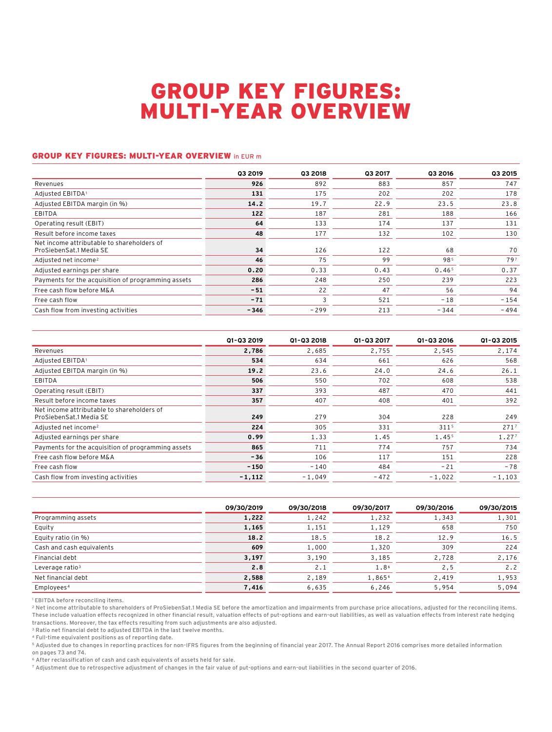## GROUP KEY FIGURES: MULTI-YEAR OVERVIEW

## GROUP KEY FIGURES: MULTI-YEAR OVERVIEW in EUR m

|                                                                       | Q3 2019 | 03 2018 | <b>Q3 2017</b> | Q3 2016           | 03 2015 |
|-----------------------------------------------------------------------|---------|---------|----------------|-------------------|---------|
| Revenues                                                              | 926     | 892     | 883            | 857               | 747     |
| Adjusted EBITDA1                                                      | 131     | 175     | 202            | 202               | 178     |
| Adjusted EBITDA margin (in %)                                         | 14.2    | 19.7    | 22.9           | 23.5              | 23.8    |
| EBITDA                                                                | 122     | 187     | 281            | 188               | 166     |
| Operating result (EBIT)                                               | 64      | 133     | 174            | 137               | 131     |
| Result before income taxes                                            | 48      | 177     | 132            | 102               | 130     |
| Net income attributable to shareholders of<br>ProSiebenSat.1 Media SE | 34      | 126     | 122            | 68                | 70      |
| Adjusted net income <sup>2</sup>                                      | 46      | 75      | 99             | 985               | 797     |
| Adjusted earnings per share                                           | 0.20    | 0.33    | 0.43           | 0.46 <sup>5</sup> | 0.37    |
| Payments for the acquisition of programming assets                    | 286     | 248     | 250            | 239               | 223     |
| Free cash flow before M&A                                             | $-51$   | 22      | 47             | 56                | 94      |
| Free cash flow                                                        | $-71$   | 3       | 521            | $-18$             | $-154$  |
| Cash flow from investing activities                                   | $-346$  | $-299$  | 213            | $-344$            | $-494$  |

|                                                                       | 01-03 2019 | Q1-Q3 2018 | Q1-Q3 2017 | 01-03 2016 | 01-03 2015 |
|-----------------------------------------------------------------------|------------|------------|------------|------------|------------|
| Revenues                                                              | 2,786      | 2,685      | 2.755      | 2,545      | 2,174      |
| Adjusted EBITDA1                                                      | 534        | 634        | 661        | 626        | 568        |
| Adjusted EBITDA margin (in %)                                         | 19.2       | 23.6       | 24.0       | 24.6       | 26.1       |
| EBITDA                                                                | 506        | 550        | 702        | 608        | 538        |
| Operating result (EBIT)                                               | 337        | 393        | 487        | 470        | 441        |
| Result before income taxes                                            | 357        | 407        | 408        | 401        | 392        |
| Net income attributable to shareholders of<br>ProSiebenSat.1 Media SE | 249        | 279        | 304        | 228        | 249        |
| Adjusted net income <sup>2</sup>                                      | 224        | 305        | 331        | 3115       | 2717       |
| Adjusted earnings per share                                           | 0.99       | 1.33       | 1.45       | 1.455      | 1.277      |
| Payments for the acquisition of programming assets                    | 865        | 711        | 774        | 757        | 734        |
| Free cash flow before M&A                                             | $-36$      | 106        | 117        | 151        | 228        |
| Free cash flow                                                        | $-150$     | $-140$     | 484        | $-21$      | $-78$      |
| Cash flow from investing activities                                   | $-1,112$   | $-1,049$   | $-472$     | $-1,022$   | $-1,103$   |

|                             | 09/30/2019 | 09/30/2018 | 09/30/2017 | 09/30/2016 | 09/30/2015 |
|-----------------------------|------------|------------|------------|------------|------------|
| Programming assets          | 1,222      | 1,242      | 1,232      | 1,343      | 1,301      |
| Equity                      | 1,165      | 1,151      | 1,129      | 658        | 750        |
| Equity ratio (in %)         | 18.2       | 18.5       | 18.2       | 12.9       | 16.5       |
| Cash and cash equivalents   | 609        | 1,000      | 1,320      | 309        | 224        |
| Financial debt              | 3,197      | 3,190      | 3,185      | 2,728      | 2,176      |
| Leverage ratio <sup>3</sup> | 2.8        | 2.1        | 1.86       | 2, 5       | 2.2        |
| Net financial debt          | 2,588      | 2,189      | 1,8656     | 2,419      | 1,953      |
| Employees <sup>4</sup>      | 7,416      | 6,635      | 6,246      | 5,954      | 5,094      |

<sup>1</sup> EBITDA before reconciling items.

2 Net income attributable to shareholders of ProSiebenSat.1 Media SE before the amortization and impairments from purchase price allocations, adjusted for the reconciling items. These include valuation effects recognized in other financial result, valuation effects of put-options and earn-out liabilities, as well as valuation effects from interest rate hedging transactions. Moreover, the tax effects resulting from such adjustments are also adjusted.

3 Ratio net financial debt to adjusted EBITDA in the last twelve months.

4 Full-time equivalent positions as of reporting date.

5 Adjusted due to changes in reporting practices for non-IFRS figures from the beginning of financial year 2017. The Annual Report 2016 comprises more detailed information on pages 73 and 74.

6 After reclassification of cash and cash equivalents of assets held for sale.

7 Adjustment due to retrospective adjustment of changes in the fair value of put-options and earn-out liabilities in the second quarter of 2016.